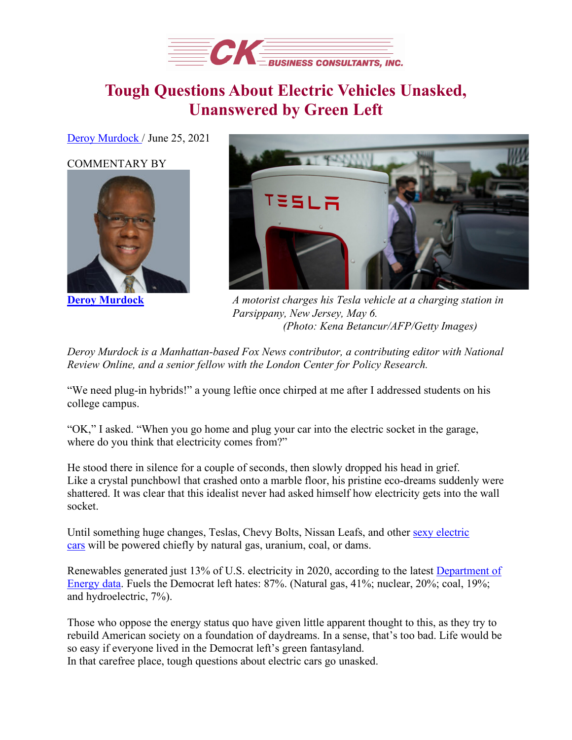

## **Tough Questions About Electric Vehicles Unasked, Unanswered by Green Left**

[Deroy Murdock](https://www.dailysignal.com/author/deroy-murdock/) / June 25, 2021

## [COMMENTARY BY](https://www.dailysignal.com/author/deroy-murdock/)





**[Deroy Murdock](https://www.dailysignal.com/author/deroy-murdock/)** *A motorist charges his Tesla vehicle at a charging station in Parsippany, New Jersey, May 6. (Photo: Kena Betancur/AFP/Getty Images)*

*Deroy Murdock is a Manhattan-based Fox News contributor, a contributing editor with National Review Online, and a senior fellow with the London Center for Policy Research.*

"We need plug-in hybrids!" a young leftie once chirped at me after I addressed students on his college campus.

"OK," I asked. "When you go home and plug your car into the electric socket in the garage, where do you think that electricity comes from?"

He stood there in silence for a couple of seconds, then slowly dropped his head in grief. Like a crystal punchbowl that crashed onto a marble floor, his pristine eco-dreams suddenly were shattered. It was clear that this idealist never had asked himself how electricity gets into the wall socket.

Until something huge changes, Teslas, Chevy Bolts, Nissan Leafs, and other [sexy electric](https://www.caranddriver.com/features/g36278968/best-selling-evs-of-2021/)  [cars](https://www.caranddriver.com/features/g36278968/best-selling-evs-of-2021/) will be powered chiefly by natural gas, uranium, coal, or dams.

Renewables generated just 13% of U.S. electricity in 2020, according to the latest [Department of](https://www.eia.gov/outlooks/steo/report/electricity.php)  [Energy data.](https://www.eia.gov/outlooks/steo/report/electricity.php) Fuels the Democrat left hates: 87%. (Natural gas, 41%; nuclear, 20%; coal, 19%; and hydroelectric, 7%).

Those who oppose the energy status quo have given little apparent thought to this, as they try to rebuild American society on a foundation of daydreams. In a sense, that's too bad. Life would be so easy if everyone lived in the Democrat left's green fantasyland. In that carefree place, tough questions about electric cars go unasked.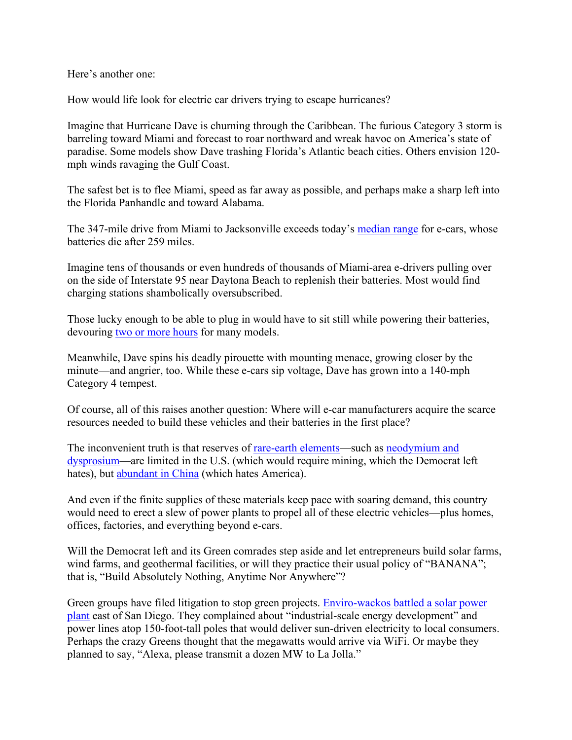Here's another one:

How would life look for electric car drivers trying to escape hurricanes?

Imagine that Hurricane Dave is churning through the Caribbean. The furious Category 3 storm is barreling toward Miami and forecast to roar northward and wreak havoc on America's state of paradise. Some models show Dave trashing Florida's Atlantic beach cities. Others envision 120 mph winds ravaging the Gulf Coast.

The safest bet is to flee Miami, speed as far away as possible, and perhaps make a sharp left into the Florida Panhandle and toward Alabama.

The 347-mile drive from Miami to Jacksonville exceeds today's [median range](https://insideevs.com/news/464449/median-range-evs-2020-exceeded-250-miles/) for e-cars, whose batteries die after 259 miles.

Imagine tens of thousands or even hundreds of thousands of Miami-area e-drivers pulling over on the side of Interstate 95 near Daytona Beach to replenish their batteries. Most would find charging stations shambolically oversubscribed.

Those lucky enough to be able to plug in would have to sit still while powering their batteries, devouring [two or more hours](https://www.nerdwallet.com/article/loans/auto-loans/how-long-does-it-take-to-charge-an-electric-car) for many models.

Meanwhile, Dave spins his deadly pirouette with mounting menace, growing closer by the minute—and angrier, too. While these e-cars sip voltage, Dave has grown into a 140-mph Category 4 tempest.

Of course, all of this raises another question: Where will e-car manufacturers acquire the scarce resources needed to build these vehicles and their batteries in the first place?

The inconvenient truth is that reserves of [rare-earth elements—](https://investingnews.com/daily/resource-investing/critical-metals-investing/rare-earth-investing/rare-earth-reserves-country/)such as [neodymium and](https://www.prnewswire.com/news-releases/idtechex-explains-how-electric-vehicles-are-eliminating-rare-earths-301158962.html)  [dysprosium—](https://www.prnewswire.com/news-releases/idtechex-explains-how-electric-vehicles-are-eliminating-rare-earths-301158962.html)are limited in the U.S. (which would require mining, which the Democrat left hates), but [abundant in China](https://www.leadingthecharge.org.nz/do_we_have_enough_rare_earth_metals_for_evs) (which hates America).

And even if the finite supplies of these materials keep pace with soaring demand, this country would need to erect a slew of power plants to propel all of these electric vehicles—plus homes, offices, factories, and everything beyond e-cars.

Will the Democrat left and its Green comrades step aside and let entrepreneurs build solar farms, wind farms, and geothermal facilities, or will they practice their usual policy of "BANANA"; that is, "Build Absolutely Nothing, Anytime Nor Anywhere"?

Green groups have filed litigation to stop green projects. [Enviro-wackos battled a solar power](https://www.sandiegoreader.com/news/2015/mar/19/ticker-boulevard-environmentalists-against-solar/)  [plant](https://www.sandiegoreader.com/news/2015/mar/19/ticker-boulevard-environmentalists-against-solar/) east of San Diego. They complained about "industrial-scale energy development" and power lines atop 150-foot-tall poles that would deliver sun-driven electricity to local consumers. Perhaps the crazy Greens thought that the megawatts would arrive via WiFi. Or maybe they planned to say, "Alexa, please transmit a dozen MW to La Jolla."